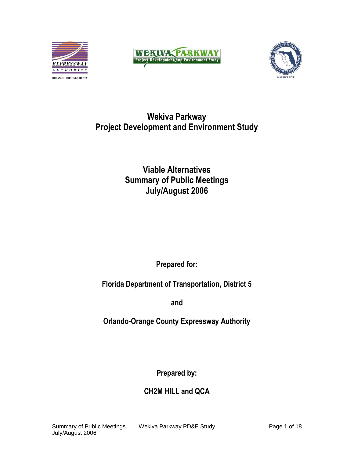





# **Wekiva Parkway Project Development and Environment Study**

# **Viable Alternatives Summary of Public Meetings July/August 2006**

**Prepared for:**

**Florida Department of Transportation, District 5**

**and**

**Orlando-Orange County Expressway Authority**

**Prepared by:**

**CH2M HILL and QCA**

July/August 2006

Summary of Public Meetings Wekiva Parkway PD&E Study Page 1 of 18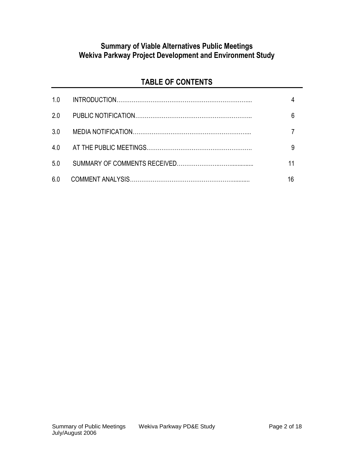# **Summary of Viable Alternatives Public Meetings Wekiva Parkway Project Development and Environment Study**

# **TABLE OF CONTENTS**

| 1.0 |  |
|-----|--|
| 2.0 |  |
| 3.0 |  |
| 4.0 |  |
| 5.0 |  |
| 6.0 |  |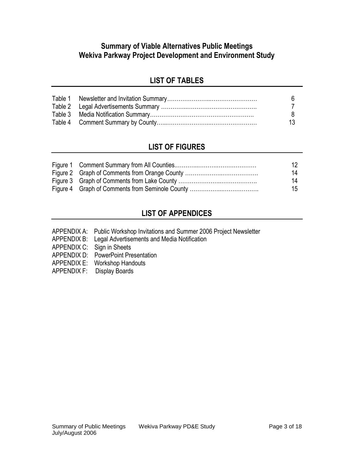### **Summary of Viable Alternatives Public Meetings Wekiva Parkway Project Development and Environment Study**

# **LIST OF TABLES**

|  | 13. |
|--|-----|

# **LIST OF FIGURES**

|  | 12. |
|--|-----|
|  | 14  |
|  | 14  |
|  | 15  |

## **LIST OF APPENDICES**

- APPENDIX A: Public Workshop Invitations and Summer 2006 Project Newsletter
- APPENDIX B: Legal Advertisements and Media Notification
- APPENDIX C: Sign in Sheets
- APPENDIX D: PowerPoint Presentation
- APPENDIX E: Workshop Handouts
- APPENDIX F: Display Boards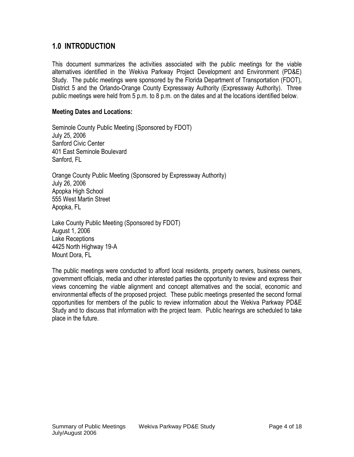### **1.0 INTRODUCTION**

This document summarizes the activities associated with the public meetings for the viable alternatives identified in the Wekiva Parkway Project Development and Environment (PD&E) Study. The public meetings were sponsored by the Florida Department of Transportation (FDOT), District 5 and the Orlando-Orange County Expressway Authority (Expressway Authority). Three public meetings were held from 5 p.m. to 8 p.m. on the dates and at the locations identified below.

### **Meeting Dates and Locations:**

Seminole County Public Meeting (Sponsored by FDOT) July 25, 2006 Sanford Civic Center 401 East Seminole Boulevard Sanford, FL

Orange County Public Meeting (Sponsored by Expressway Authority) July 26, 2006 Apopka High School 555 West Martin Street Apopka, FL

Lake County Public Meeting (Sponsored by FDOT) August 1, 2006 Lake Receptions 4425 North Highway 19-A Mount Dora, FL

The public meetings were conducted to afford local residents, property owners, business owners, government officials, media and other interested parties the opportunity to review and express their views concerning the viable alignment and concept alternatives and the social, economic and environmental effects of the proposed project. These public meetings presented the second formal opportunities for members of the public to review information about the Wekiva Parkway PD&E Study and to discuss that information with the project team. Public hearings are scheduled to take place in the future.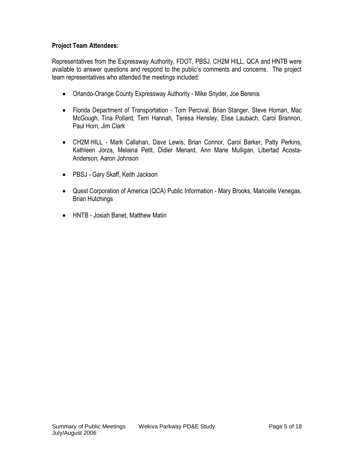### **Project Team Attendees:**

Representatives from the Expressway Authority, FDOT, PBSJ, CH2M HILL, QCA and HNTB were available to answer questions and respond to the public's comments and concerns. The project team representatives who attended the meetings included:

- Orlando-Orange County Expressway Authority Mike Snyder, Joe Berenis
- Florida Department of Transportation Tom Percival, Brian Stanger, Steve Homan, Mac McGough, Tina Pollard, Terri Hannah, Teresa Hensley, Elise Laubach, Carol Brannon, Paul Horn, Jim Clark
- CH2M HILL Mark Callahan, Dave Lewis, Brian Connor, Carol Barker, Patty Perkins, Kathleen Jorza, Melaina Petit, Didier Menard, Ann Marie Mulligan, Libertad Acosta-Anderson, Aaron Johnson
- PBSJ Gary Skaff, Keith Jackson
- Quest Corporation of America (QCA) Public Information Mary Brooks, Maricelle Venegas, Brian Hutchings
- HNTB Josiah Banet, Matthew Matin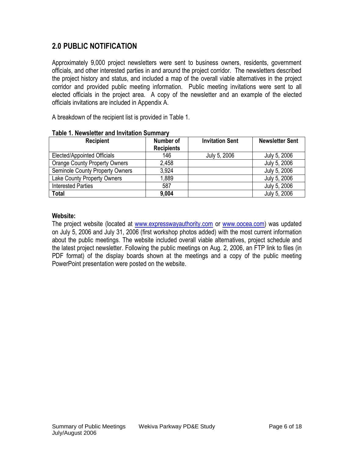### **2.0 PUBLIC NOTIFICATION**

Approximately 9,000 project newsletters were sent to business owners, residents, government officials, and other interested parties in and around the project corridor. The newsletters described the project history and status, and included a map of the overall viable alternatives in the project corridor and provided public meeting information. Public meeting invitations were sent to all elected officials in the project area. A copy of the newsletter and an example of the elected officials invitations are included in Appendix A.

A breakdown of the recipient list is provided in Table 1.

| <b>Recipient</b>                       | Number of         | <b>Invitation Sent</b> | <b>Newsletter Sent</b> |
|----------------------------------------|-------------------|------------------------|------------------------|
|                                        | <b>Recipients</b> |                        |                        |
| Elected/Appointed Officials            | 146               | July 5, 2006           | July 5, 2006           |
| <b>Orange County Property Owners</b>   | 2,458             |                        | July 5, 2006           |
| <b>Seminole County Property Owners</b> | 3.924             |                        | July 5, 2006           |
| Lake County Property Owners            | 1,889             |                        | July 5, 2006           |
| <b>Interested Parties</b>              | 587               |                        | July 5, 2006           |
| <b>Total</b>                           | 9,004             |                        | July 5, 2006           |

#### **Table 1. Newsletter and Invitation Summary**

#### **Website:**

The project website (located at [www.expresswayauthority.com](http://www.expresswayauthority.com/) or [www.oocea.com\)](http://www.oocea.com/) was updated on July 5, 2006 and July 31, 2006 (first workshop photos added) with the most current information about the public meetings. The website included overall viable alternatives, project schedule and the latest project newsletter. Following the public meetings on Aug. 2, 2006, an FTP link to files (in PDF format) of the display boards shown at the meetings and a copy of the public meeting PowerPoint presentation were posted on the website.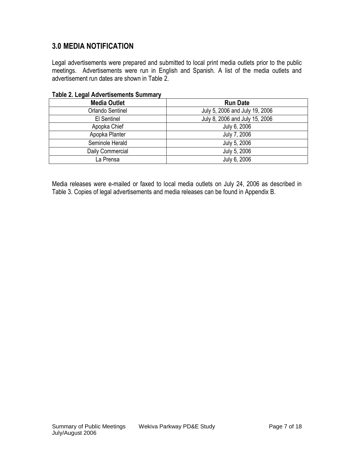## **3.0 MEDIA NOTIFICATION**

Legal advertisements were prepared and submitted to local print media outlets prior to the public meetings. Advertisements were run in English and Spanish. A list of the media outlets and advertisement run dates are shown in Table 2.

| <b>TANIC L. LUGAI AUTURITUOIRO OUTITIU (</b> |                                |  |  |
|----------------------------------------------|--------------------------------|--|--|
| <b>Media Outlet</b>                          | <b>Run Date</b>                |  |  |
| Orlando Sentinel                             | July 5, 2006 and July 19, 2006 |  |  |
| El Sentinel                                  | July 8, 2006 and July 15, 2006 |  |  |
| Apopka Chief                                 | July 6, 2006                   |  |  |
| Apopka Planter                               | July 7, 2006                   |  |  |
| Seminole Herald                              | July 5, 2006                   |  |  |
| Daily Commercial                             | July 5, 2006                   |  |  |
| La Prensa                                    | July 6, 2006                   |  |  |

### **Table 2. Legal Advertisements Summary**

Media releases were e-mailed or faxed to local media outlets on July 24, 2006 as described in Table 3. Copies of legal advertisements and media releases can be found in Appendix B.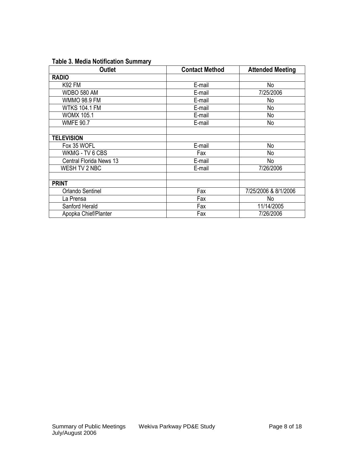### **Table 3. Media Notification Summary**

| <b>Outlet</b>           | <b>Contact Method</b> | <b>Attended Meeting</b> |
|-------------------------|-----------------------|-------------------------|
| <b>RADIO</b>            |                       |                         |
| <b>K92 FM</b>           | E-mail                | No                      |
| WDBO 580 AM             | E-mail                | 7/25/2006               |
| <b>WMMO 98.9 FM</b>     | E-mail                | No                      |
| <b>WTKS 104.1 FM</b>    | E-mail                | No                      |
| <b>WOMX 105.1</b>       | E-mail                | No                      |
| <b>WMFE 90.7</b>        | E-mail                | No                      |
|                         |                       |                         |
| <b>TELEVISION</b>       |                       |                         |
| Fox 35 WOFL             | E-mail                | No                      |
| WKMG - TV 6 CBS         | Fax                   | No                      |
| Central Florida News 13 | E-mail                | No                      |
| WESH TV 2 NBC           | E-mail                | 7/26/2006               |
|                         |                       |                         |
| <b>PRINT</b>            |                       |                         |
| Orlando Sentinel        | Fax                   | 7/25/2006 & 8/1/2006    |
| La Prensa               | Fax                   | No                      |
| Sanford Herald          | Fax                   | 11/14/2005              |
| Apopka Chief/Planter    | Fax                   | 7/26/2006               |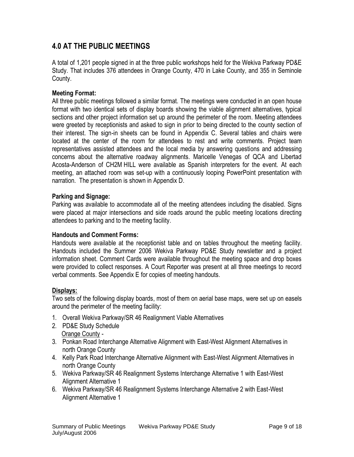### **4.0 AT THE PUBLIC MEETINGS**

A total of 1,201 people signed in at the three public workshops held for the Wekiva Parkway PD&E Study. That includes 376 attendees in Orange County, 470 in Lake County, and 355 in Seminole County.

#### **Meeting Format:**

All three public meetings followed a similar format. The meetings were conducted in an open house format with two identical sets of display boards showing the viable alignment alternatives, typical sections and other project information set up around the perimeter of the room. Meeting attendees were greeted by receptionists and asked to sign in prior to being directed to the county section of their interest. The sign-in sheets can be found in Appendix C. Several tables and chairs were located at the center of the room for attendees to rest and write comments. Project team representatives assisted attendees and the local media by answering questions and addressing concerns about the alternative roadway alignments. Maricelle Venegas of QCA and Libertad Acosta-Anderson of CH2M HILL were available as Spanish interpreters for the event. At each meeting, an attached room was set-up with a continuously looping PowerPoint presentation with narration. The presentation is shown in Appendix D.

#### **Parking and Signage:**

Parking was available to accommodate all of the meeting attendees including the disabled. Signs were placed at major intersections and side roads around the public meeting locations directing attendees to parking and to the meeting facility.

#### **Handouts and Comment Forms:**

Handouts were available at the receptionist table and on tables throughout the meeting facility. Handouts included the Summer 2006 Wekiva Parkway PD&E Study newsletter and a project information sheet. Comment Cards were available throughout the meeting space and drop boxes were provided to collect responses. A Court Reporter was present at all three meetings to record verbal comments. See Appendix E for copies of meeting handouts.

#### **Displays:**

Two sets of the following display boards, most of them on aerial base maps, were set up on easels around the perimeter of the meeting facility:

- 1. Overall Wekiva Parkway/SR 46 Realignment Viable Alternatives
- 2. PD&E Study Schedule Orange County -
- 3. Ponkan Road Interchange Alternative Alignment with East-West Alignment Alternatives in north Orange County
- 4. Kelly Park Road Interchange Alternative Alignment with East-West Alignment Alternatives in north Orange County
- 5. Wekiva Parkway/SR 46 Realignment Systems Interchange Alternative 1 with East-West Alignment Alternative 1
- 6. Wekiva Parkway/SR 46 Realignment Systems Interchange Alternative 2 with East-West Alignment Alternative 1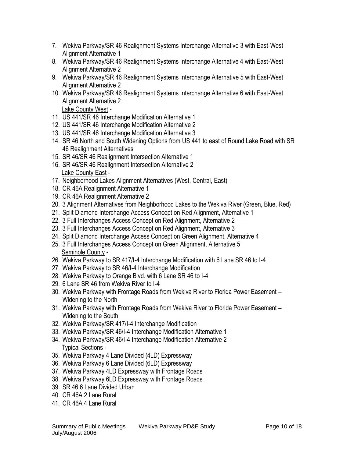- 7. Wekiva Parkway/SR 46 Realignment Systems Interchange Alternative 3 with East-West Alignment Alternative 1
- 8. Wekiva Parkway/SR 46 Realignment Systems Interchange Alternative 4 with East-West Alignment Alternative 2
- 9. Wekiva Parkway/SR 46 Realignment Systems Interchange Alternative 5 with East-West Alignment Alternative 2
- 10. Wekiva Parkway/SR 46 Realignment Systems Interchange Alternative 6 with East-West Alignment Alternative 2

Lake County West -

- 11. US 441/SR 46 Interchange Modification Alternative 1
- 12. US 441/SR 46 Interchange Modification Alternative 2
- 13. US 441/SR 46 Interchange Modification Alternative 3
- 14. SR 46 North and South Widening Options from US 441 to east of Round Lake Road with SR 46 Realignment Alternatives
- 15. SR 46/SR 46 Realignment Intersection Alternative 1
- 16. SR 46/SR 46 Realignment Intersection Alternative 2 Lake County East -
- 17. Neighborhood Lakes Alignment Alternatives (West, Central, East)
- 18. CR 46A Realignment Alternative 1
- 19. CR 46A Realignment Alternative 2
- 20. 3 Alignment Alternatives from Neighborhood Lakes to the Wekiva River (Green, Blue, Red)
- 21. Split Diamond Interchange Access Concept on Red Alignment, Alternative 1
- 22. 3 Full Interchanges Access Concept on Red Alignment, Alternative 2
- 23. 3 Full Interchanges Access Concept on Red Alignment, Alternative 3
- 24. Split Diamond Interchange Access Concept on Green Alignment, Alternative 4
- 25. 3 Full Interchanges Access Concept on Green Alignment, Alternative 5 Seminole County -
- 26. Wekiva Parkway to SR 417/I-4 Interchange Modification with 6 Lane SR 46 to I-4
- 27. Wekiva Parkway to SR 46/I-4 Interchange Modification
- 28. Wekiva Parkway to Orange Blvd. with 6 Lane SR 46 to I-4
- 29. 6 Lane SR 46 from Wekiva River to I-4
- 30. Wekiva Parkway with Frontage Roads from Wekiva River to Florida Power Easement Widening to the North
- 31. Wekiva Parkway with Frontage Roads from Wekiva River to Florida Power Easement Widening to the South
- 32. Wekiva Parkway/SR 417/I-4 Interchange Modification
- 33. Wekiva Parkway/SR 46/I-4 Interchange Modification Alternative 1
- 34. Wekiva Parkway/SR 46/I-4 Interchange Modification Alternative 2 Typical Sections -
- 35. Wekiva Parkway 4 Lane Divided (4LD) Expressway
- 36. Wekiva Parkway 6 Lane Divided (6LD) Expressway
- 37. Wekiva Parkway 4LD Expressway with Frontage Roads
- 38. Wekiva Parkway 6LD Expressway with Frontage Roads
- 39. SR 46 6 Lane Divided Urban
- 40. CR 46A 2 Lane Rural
- 41. CR 46A 4 Lane Rural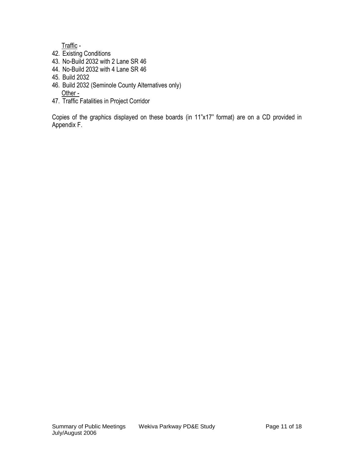Traffic -

- 42. Existing Conditions
- 43. No-Build 2032 with 2 Lane SR 46
- 44. No-Build 2032 with 4 Lane SR 46
- 45. Build 2032
- 46. Build 2032 (Seminole County Alternatives only) Other -
- 47. Traffic Fatalities in Project Corridor

Copies of the graphics displayed on these boards (in 11"x17" format) are on a CD provided in Appendix F.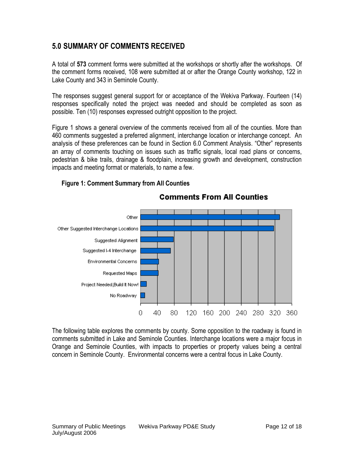### **5.0 SUMMARY OF COMMENTS RECEIVED**

A total of **573** comment forms were submitted at the workshops or shortly after the workshops. Of the comment forms received, 108 were submitted at or after the Orange County workshop, 122 in Lake County and 343 in Seminole County.

The responses suggest general support for or acceptance of the Wekiva Parkway. Fourteen (14) responses specifically noted the project was needed and should be completed as soon as possible. Ten (10) responses expressed outright opposition to the project.

Figure 1 shows a general overview of the comments received from all of the counties. More than 460 comments suggested a preferred alignment, interchange location or interchange concept. An analysis of these preferences can be found in Section 6.0 Comment Analysis. "Other" represents an array of comments touching on issues such as traffic signals, local road plans or concerns, pedestrian & bike trails, drainage & floodplain, increasing growth and development, construction impacts and meeting format or materials, to name a few.

**Comments From All Counties** 



### **Figure 1: Comment Summary from All Counties**

The following table explores the comments by county. Some opposition to the roadway is found in comments submitted in Lake and Seminole Counties. Interchange locations were a major focus in Orange and Seminole Counties, with impacts to properties or property values being a central concern in Seminole County. Environmental concerns were a central focus in Lake County.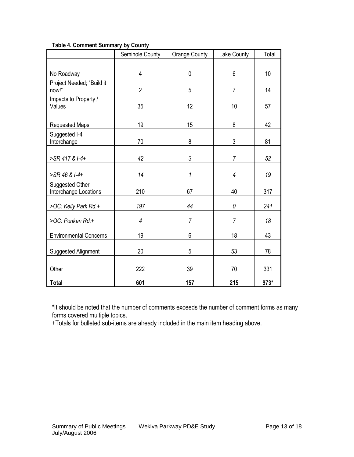| Table 4. Comment Summary by County |  |  |
|------------------------------------|--|--|
|                                    |  |  |

|                                          | Seminole County | <b>Orange County</b> | Lake County    | Total |
|------------------------------------------|-----------------|----------------------|----------------|-------|
|                                          |                 |                      |                |       |
| No Roadway                               | 4               | $\mathbf 0$          | $6\phantom{1}$ | 10    |
| Project Needed; "Build it<br>now!"       | $\overline{2}$  | 5                    | $\overline{7}$ | 14    |
| Impacts to Property /<br>Values          | 35              | 12                   | 10             | 57    |
| <b>Requested Maps</b>                    | 19              | 15                   | 8              | 42    |
| Suggested I-4<br>Interchange             | 70              | 8                    | 3              | 81    |
| >SR 417 & I-4+                           | 42              | 3                    | $\overline{7}$ | 52    |
| >SR 46 & I-4+                            | 14              | 1                    | 4              | 19    |
| Suggested Other<br>Interchange Locations | 210             | 67                   | 40             | 317   |
| >OC: Kelly Park Rd.+                     | 197             | 44                   | 0              | 241   |
| >OC: Ponkan Rd.+                         | $\overline{4}$  | $\overline{7}$       | $\overline{7}$ | 18    |
| <b>Environmental Concerns</b>            | 19              | 6                    | 18             | 43    |
| Suggested Alignment                      | 20              | 5                    | 53             | 78    |
| Other                                    | 222             | 39                   | 70             | 331   |
| <b>Total</b>                             | 601             | 157                  | 215            | 973*  |

\*It should be noted that the number of comments exceeds the number of comment forms as many forms covered multiple topics.

+Totals for bulleted sub-items are already included in the main item heading above.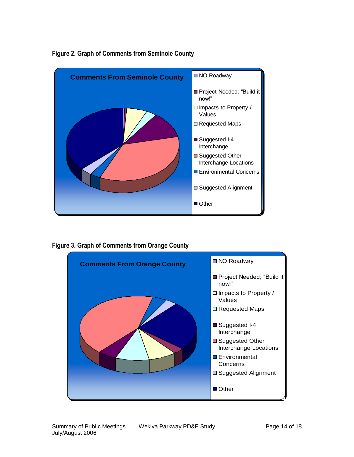

### **Figure 2. Graph of Comments from Seminole County**

**Figure 3. Graph of Comments from Orange County**

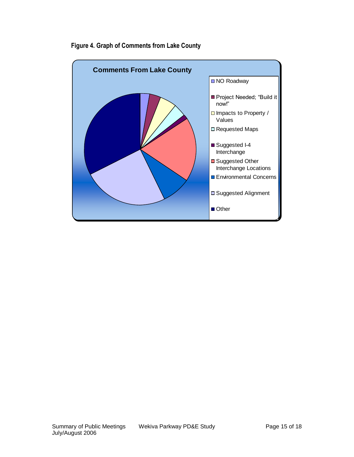

### **Figure 4. Graph of Comments from Lake County**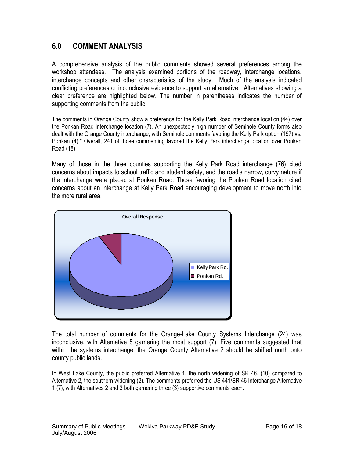### **6.0 COMMENT ANALYSIS**

A comprehensive analysis of the public comments showed several preferences among the workshop attendees. The analysis examined portions of the roadway, interchange locations, interchange concepts and other characteristics of the study. Much of the analysis indicated conflicting preferences or inconclusive evidence to support an alternative. Alternatives showing a clear preference are highlighted below. The number in parentheses indicates the number of supporting comments from the public.

The comments in Orange County show a preference for the Kelly Park Road interchange location (44) over the Ponkan Road interchange location (7). An unexpectedly high number of Seminole County forms also dealt with the Orange County interchange, with Seminole comments favoring the Kelly Park option (197) vs. Ponkan (4).\* Overall, 241 of those commenting favored the Kelly Park interchange location over Ponkan Road (18).

Many of those in the three counties supporting the Kelly Park Road interchange (76) cited concerns about impacts to school traffic and student safety, and the road's narrow, curvy nature if the interchange were placed at Ponkan Road. Those favoring the Ponkan Road location cited concerns about an interchange at Kelly Park Road encouraging development to move north into the more rural area.



The total number of comments for the Orange-Lake County Systems Interchange (24) was inconclusive, with Alternative 5 garnering the most support (7). Five comments suggested that within the systems interchange, the Orange County Alternative 2 should be shifted north onto county public lands.

In West Lake County, the public preferred Alternative 1, the north widening of SR 46, (10) compared to Alternative 2, the southern widening (2). The comments preferred the US 441/SR 46 Interchange Alternative 1 (7), with Alternatives 2 and 3 both garnering three (3) supportive comments each.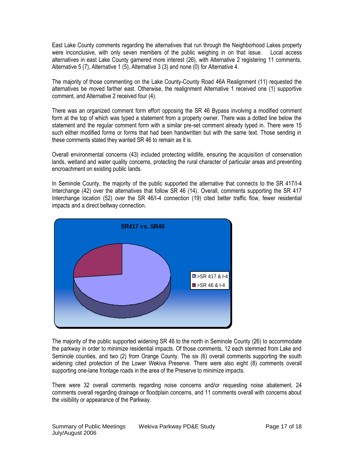East Lake County comments regarding the alternatives that run through the Neighborhood Lakes property were inconclusive, with only seven members of the public weighing in on that issue. Local access alternatives in east Lake County garnered more interest (26), with Alternative 2 registering 11 comments, Alternative 5 (7), Alternative 1 (5), Alternative 3 (3) and none (0) for Alternative 4.

The majority of those commenting on the Lake County-County Road 46A Realignment (11) requested the alternatives be moved farther east. Otherwise, the realignment Alternative 1 received one (1) supportive comment, and Alternative 2 received four (4).

There was an organized comment form effort opposing the SR 46 Bypass involving a modified comment form at the top of which was typed a statement from a property owner. There was a dotted line below the statement and the regular comment form with a similar pre-set comment already typed in. There were 15 such either modified forms or forms that had been handwritten but with the same text. Those sending in these comments stated they wanted SR 46 to remain as it is.

Overall environmental concerns (43) included protecting wildlife, ensuring the acquisition of conservation lands, wetland and water quality concerns, protecting the rural character of particular areas and preventing encroachment on existing public lands.

In Seminole County, the majority of the public supported the alternative that connects to the SR 417/I-4 Interchange (42) over the alternatives that follow SR 46 (14). Overall, comments supporting the SR 417 Interchange location (52) over the SR 46/I-4 connection (19) cited better traffic flow, fewer residential impacts and a direct beltway connection.



The majority of the public supported widening SR 46 to the north in Seminole County (26) to accommodate the parkway in order to minimize residential impacts. Of those comments, 12 each stemmed from Lake and Seminole counties, and two (2) from Orange County. The six (6) overall comments supporting the south widening cited protection of the Lower Wekiva Preserve. There were also eight (8) comments overall supporting one-lane frontage roads in the area of the Preserve to minimize impacts.

There were 32 overall comments regarding noise concerns and/or requesting noise abatement, 24 comments overall regarding drainage or floodplain concerns, and 11 comments overall with concerns about the visibility or appearance of the Parkway.